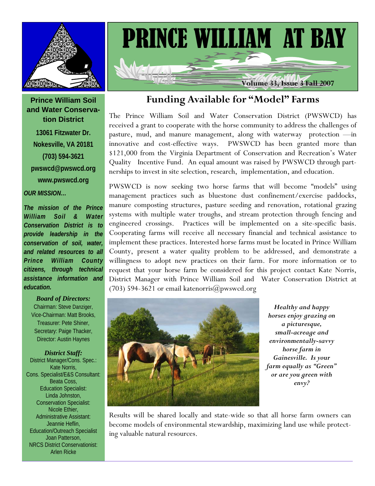

### **Prince William Soil and Water Conservation District**

**13061 Fitzwater Dr. Nokesville, VA 20181 (703) 594-3621 pwswcd@pwswcd.org www.pwswcd.org** 

### *OUR MISSION…*

*The mission of the Prince William Soil & Water Conservation District is to provide leadership in the conservation of soil, water, and related resources to all Prince William County citizens, through technical assistance information and education.* 

#### *Board of Directors:*

Chairman: Steve Danziger, Vice-Chairman: Matt Brooks, Treasurer: Pete Shiner, Secretary: Paige Thacker, Director: Austin Haynes

#### *District Staff:*

District Manager/Cons. Spec.: Kate Norris, Cons. Specialist/E&S Consultant: Beata Coss, Education Specialist: Linda Johnston, Conservation Specialist: Nicole Ethier, Administrative Assistant: Jeannie Heflin, Education/Outreach Specialist Joan Patterson, NRCS District Conservationist: Arlen Ricke



## **Funding Available for "Model" Farms**

The Prince William Soil and Water Conservation District (PWSWCD) has received a grant to cooperate with the horse community to address the challenges of pasture, mud, and manure management, along with waterway protection —in innovative and cost-effective ways. PWSWCD has been granted more than \$121,000 from the Virginia Department of Conservation and Recreation's Water Quality Incentive Fund. An equal amount was raised by PWSWCD through partnerships to invest in site selection, research, implementation, and education.

PWSWCD is now seeking two horse farms that will become "models" using management practices such as bluestone dust confinement/exercise paddocks, manure composting structures, pasture seeding and renovation, rotational grazing systems with multiple water troughs, and stream protection through fencing and engineered crossings. Practices will be implemented on a site-specific basis. Cooperating farms will receive all necessary financial and technical assistance to implement these practices. Interested horse farms must be located in Prince William County, present a water quality problem to be addressed, and demonstrate a willingness to adopt new practices on their farm. For more information or to request that your horse farm be considered for this project contact Kate Norris, District Manager with Prince William Soil and Water Conservation District at (703) 594-3621 or email katenorris@pwswcd.org



*Healthy and happy horses enjoy grazing on a picturesque, small-acreage and environmentally-savvy horse farm in Gainesville. Is your farm equally as "Green" or are you green with envy?* 

Results will be shared locally and state-wide so that all horse farm owners can become models of environmental stewardship, maximizing land use while protecting valuable natural resources.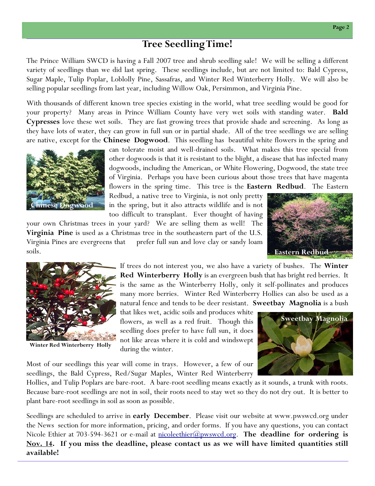### **Tree Seedling Time!**

The Prince William SWCD is having a Fall 2007 tree and shrub seedling sale! We will be selling a different variety of seedlings than we did last spring. These seedlings include, but are not limited to: Bald Cypress, Sugar Maple, Tulip Poplar, Loblolly Pine, Sassafras, and Winter Red Winterberry Holly. We will also be selling popular seedlings from last year, including Willow Oak, Persimmon, and Virginia Pine.

With thousands of different known tree species existing in the world, what tree seedling would be good for your property? Many areas in Prince William County have very wet soils with standing water. **Bald Cypresses** love these wet soils. They are fast growing trees that provide shade and screening. As long as they have lots of water, they can grow in full sun or in partial shade. All of the tree seedlings we are selling are native, except for the **Chinese Dogwood**. This seedling has beautiful white flowers in the spring and



can tolerate moist and well-drained soils. What makes this tree special from other dogwoods is that it is resistant to the blight, a disease that has infected many dogwoods, including the American, or White Flowering, Dogwood, the state tree of Virginia. Perhaps you have been curious about those trees that have magenta flowers in the spring time. This tree is the **Eastern Redbud**. The Eastern

Redbud, a native tree to Virginia, is not only pretty in the spring, but it also attracts wildlife and is not too difficult to transplant. Ever thought of having

your own Christmas trees in your yard? We are selling them as well! The **Virginia Pine** is used as a Christmas tree in the southeastern part of the U.S. Virginia Pines are evergreens that prefer full sun and love clay or sandy loam soils.





**Winter Red Winterberry Holly** 

If trees do not interest you, we also have a variety of bushes. The **Winter Red Winterberry Holly** is an evergreen bush that has bright red berries. It is the same as the Winterberry Holly, only it self-pollinates and produces many more berries. Winter Red Winterberry Hollies can also be used as a natural fence and tends to be deer resistant. **Sweetbay Magnolia** is a bush

that likes wet, acidic soils and produces white flowers, as well as a red fruit. Though this seedling does prefer to have full sun, it does not like areas where it is cold and windswept during the winter.



Most of our seedlings this year will come in trays. However, a few of our seedlings, the Bald Cypress, Red/Sugar Maples, Winter Red Winterberry

Hollies, and Tulip Poplars are bare-root. A bare-root seedling means exactly as it sounds, a trunk with roots. Because bare-root seedlings are not in soil, their roots need to stay wet so they do not dry out. It is better to plant bare-root seedlings in soil as soon as possible.

Seedlings are scheduled to arrive in **early December**. Please visit our website at www.pwswcd.org under the News section for more information, pricing, and order forms. If you have any questions, you can contact Nicole Ethier at 703-594-3621 or e-mail at nicoleethier@pwswcd.org. **The deadline for ordering is Nov. 14. If you miss the deadline, please contact us as we will have limited quantities still available!**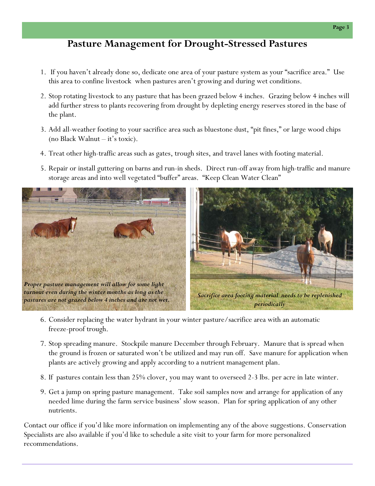# **Pasture Management for Drought-Stressed Pastures**

- 1. If you haven't already done so, dedicate one area of your pasture system as your "sacrifice area." Use this area to confine livestock when pastures aren't growing and during wet conditions.
- 2. Stop rotating livestock to any pasture that has been grazed below 4 inches. Grazing below 4 inches will add further stress to plants recovering from drought by depleting energy reserves stored in the base of the plant.
- 3. Add all-weather footing to your sacrifice area such as bluestone dust, "pit fines," or large wood chips (no Black Walnut – it's toxic).
- 4. Treat other high-traffic areas such as gates, trough sites, and travel lanes with footing material.
- 5. Repair or install guttering on barns and run-in sheds. Direct run-off away from high-traffic and manure storage areas and into well vegetated "buffer" areas. "Keep Clean Water Clean"



- 6. Consider replacing the water hydrant in your winter pasture/sacrifice area with an automatic freeze-proof trough.
- 7. Stop spreading manure. Stockpile manure December through February. Manure that is spread when the ground is frozen or saturated won't be utilized and may run off. Save manure for application when plants are actively growing and apply according to a nutrient management plan.
- 8. If pastures contain less than 25% clover, you may want to overseed 2-3 lbs. per acre in late winter.
- 9. Get a jump on spring pasture management. Take soil samples now and arrange for application of any needed lime during the farm service business' slow season. Plan for spring application of any other nutrients.

Contact our office if you'd like more information on implementing any of the above suggestions. Conservation Specialists are also available if you'd like to schedule a site visit to your farm for more personalized recommendations.